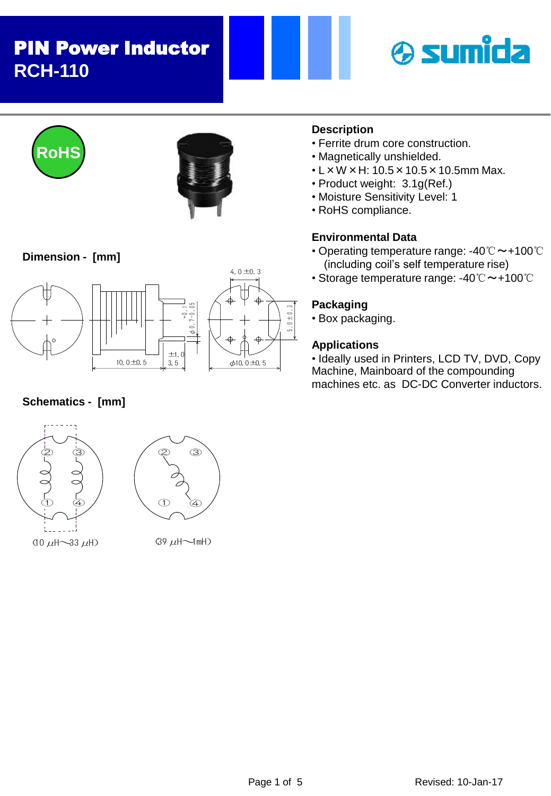# PIN Power Inductor **RCH-110**







### **Dimension - [mm]**



### **Schematics - [mm]**





 $(39 \mu H \rightarrow mH)$ 

### **Description**

- Ferrite drum core construction.
- Magnetically unshielded.
- L×W×H: 10.5×10.5×10.5mm Max.
- Product weight: 3.1g(Ref.)
- Moisture Sensitivity Level: 1
- RoHS compliance.

#### **Environmental Data**

- Operating temperature range: -40℃~+100℃ (including coil's self temperature rise)
- Storage temperature range: -40℃~+100℃

#### **Packaging**

• Box packaging.

#### **Applications**

• Ideally used in Printers, LCD TV, DVD, Copy Machine, Mainboard of the compounding machines etc. as DC-DC Converter inductors.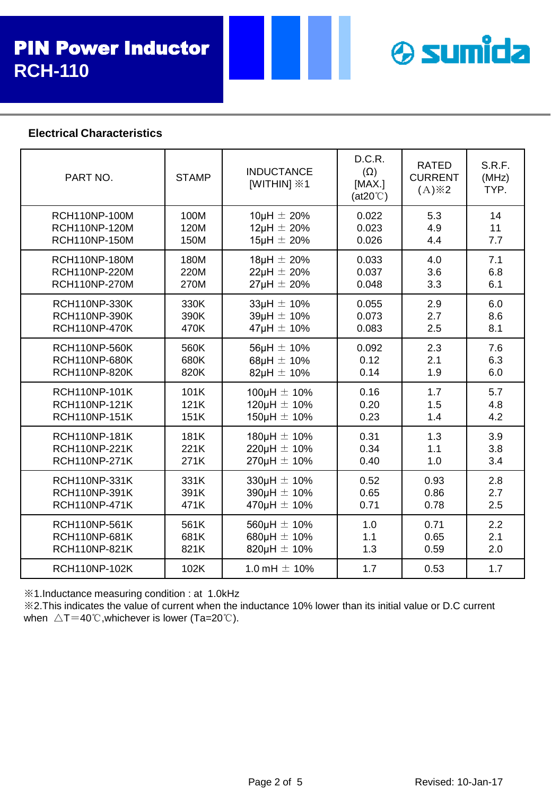

#### **Electrical Characteristics**

| PART NO.             | <b>STAMP</b> | <b>INDUCTANCE</b><br>[WITHIN] <b>※1</b> | D.C.R.<br>$(\Omega)$<br>[MAX.]<br>$(at20^{\circ}C)$ | <b>RATED</b><br><b>CURRENT</b><br>$(A)$ $\&$ 2 | S.R.F.<br>(MHz)<br>TYP. |
|----------------------|--------------|-----------------------------------------|-----------------------------------------------------|------------------------------------------------|-------------------------|
| <b>RCH110NP-100M</b> | 100M         | 10µH $\pm$ 20%                          | 0.022                                               | 5.3                                            | 14                      |
| <b>RCH110NP-120M</b> | 120M         | $12\mu H \pm 20\%$                      | 0.023                                               | 4.9                                            | 11                      |
| <b>RCH110NP-150M</b> | 150M         | $15\mu H \pm 20\%$                      | 0.026                                               | 4.4                                            | 7.7                     |
| <b>RCH110NP-180M</b> | 180M         | $18\mu H \pm 20\%$                      | 0.033                                               | 4.0                                            | 7.1                     |
| <b>RCH110NP-220M</b> | 220M         | $22\mu H \pm 20\%$                      | 0.037                                               | 3.6                                            | 6.8                     |
| <b>RCH110NP-270M</b> | 270M         | $27\mu H \pm 20\%$                      | 0.048                                               | 3.3                                            | 6.1                     |
| <b>RCH110NP-330K</b> | 330K         | $33\mu H \pm 10\%$                      | 0.055                                               | 2.9                                            | 6.0                     |
| <b>RCH110NP-390K</b> | 390K         | $39\mu H \pm 10\%$                      | 0.073                                               | 2.7                                            | 8.6                     |
| <b>RCH110NP-470K</b> | 470K         | $47\mu H \pm 10\%$                      | 0.083                                               | 2.5                                            | 8.1                     |
| <b>RCH110NP-560K</b> | 560K         | $56\mu H \pm 10\%$                      | 0.092                                               | 2.3                                            | 7.6                     |
| <b>RCH110NP-680K</b> | 680K         | 68µH $\pm$ 10%                          | 0.12                                                | 2.1                                            | 6.3                     |
| <b>RCH110NP-820K</b> | 820K         | 82µH $\pm$ 10%                          | 0.14                                                | 1.9                                            | 6.0                     |
| <b>RCH110NP-101K</b> | 101K         | 100µH $\pm$ 10%                         | 0.16                                                | 1.7                                            | 5.7                     |
| <b>RCH110NP-121K</b> | 121K         | 120 $\mu$ H $\pm$ 10%                   | 0.20                                                | 1.5                                            | 4.8                     |
| <b>RCH110NP-151K</b> | 151K         | 150 $\mu$ H $\pm$ 10%                   | 0.23                                                | 1.4                                            | 4.2                     |
| <b>RCH110NP-181K</b> | 181K         | 180µH $\pm$ 10%                         | 0.31                                                | 1.3                                            | 3.9                     |
| <b>RCH110NP-221K</b> | 221K         | 220µH $\pm$ 10%                         | 0.34                                                | 1.1                                            | 3.8                     |
| <b>RCH110NP-271K</b> | 271K         | $270 \mu H \pm 10\%$                    | 0.40                                                | 1.0                                            | 3.4                     |
| RCH110NP-331K        | 331K         | 330µH $\pm$ 10%                         | 0.52                                                | 0.93                                           | 2.8                     |
| RCH110NP-391K        | 391K         | 390µH $\pm$ 10%                         | 0.65                                                | 0.86                                           | 2.7                     |
| <b>RCH110NP-471K</b> | 471K         | 470 $\mu$ H $\pm$ 10%                   | 0.71                                                | 0.78                                           | 2.5                     |
| <b>RCH110NP-561K</b> | 561K         | $560\mu H \pm 10\%$                     | 1.0                                                 | 0.71                                           | 2.2                     |
| RCH110NP-681K        | 681K         | 680µH $\pm$ 10%                         | 1.1                                                 | 0.65                                           | 2.1                     |
| <b>RCH110NP-821K</b> | 821K         | 820µH $\pm$ 10%                         | 1.3                                                 | 0.59                                           | 2.0                     |
| <b>RCH110NP-102K</b> | 102K         | 1.0 mH $\pm$ 10%                        | 1.7                                                 | 0.53                                           | 1.7                     |

※1.Inductance measuring condition : at 1.0kHz

※2.This indicates the value of current when the inductance 10% lower than its initial value or D.C current when  $\triangle T=40^{\circ}$ C, whichever is lower (Ta=20 $^{\circ}$ C).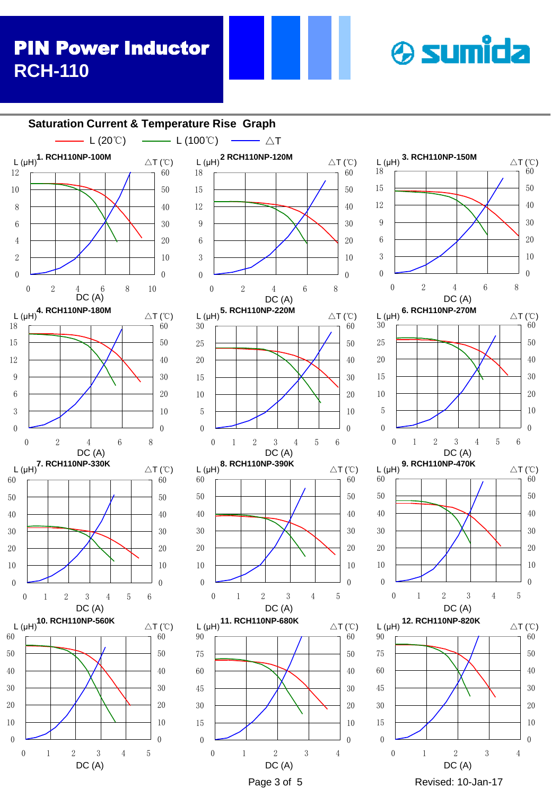# PIN Power Inductor **RCH-110**



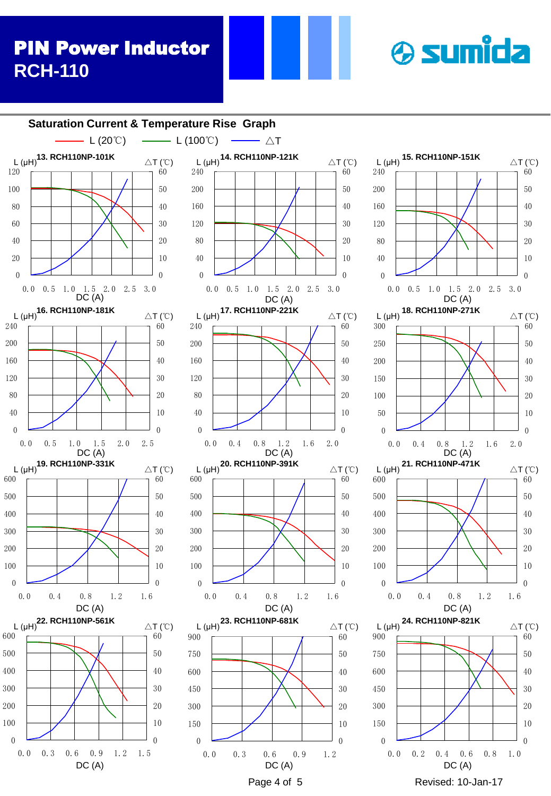# PIN Power Inductor **RCH-110**



**& sumida**